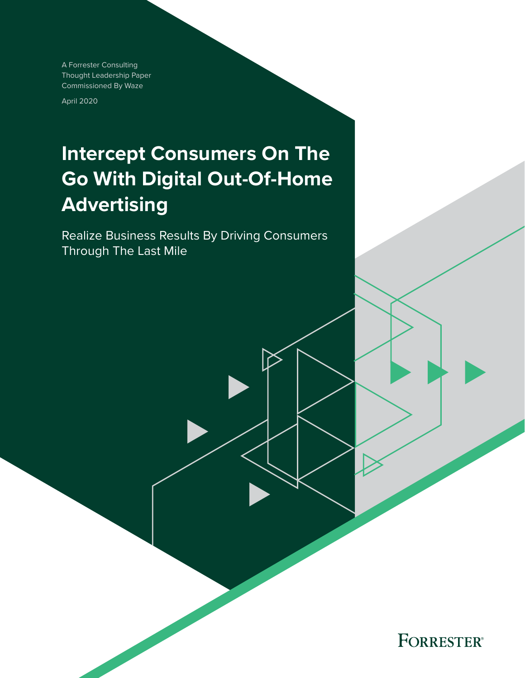A Forrester Consulting Thought Leadership Paper Commissioned By Waze

April 2020

# **Intercept Consumers On The Go With Digital Out-Of-Home Advertising**

Realize Business Results By Driving Consumers Through The Last Mile

**FORRESTER®**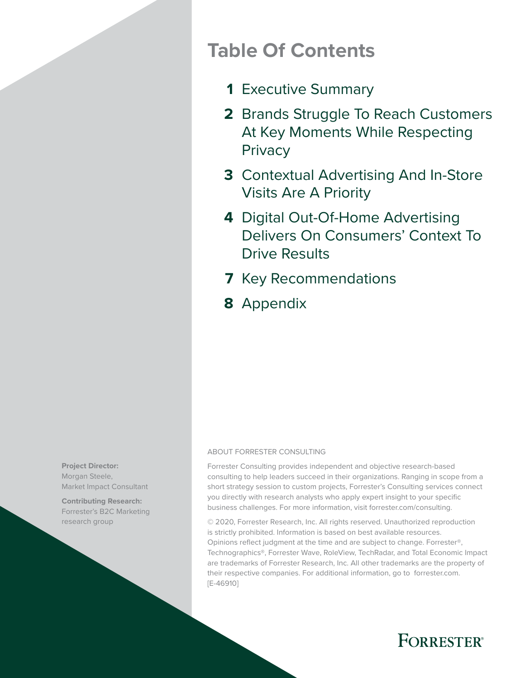## **Table Of Contents**

- [Executive Summary](#page-2-0) **1**
- 2 Brands Struggle To Reach Customers [At Key Moments While Respecting](#page-3-0)  **Privacy**
- [Contextual Advertising And In-Store](#page-4-0)  **3** [Visits Are A Priority](#page-4-0)
- [Digital Out-Of-Home Advertising](#page-5-0)  **4** [Delivers On Consumers' Context To](#page-5-0)  [Drive Results](#page-5-0)
- **7** [Key Recommendations](#page-8-0)
- 8 [Appendix](#page-9-0)

#### ABOUT FORRESTER CONSULTING

Forrester Consulting provides independent and objective research-based consulting to help leaders succeed in their organizations. Ranging in scope from a short strategy session to custom projects, Forrester's Consulting services connect you directly with research analysts who apply expert insight to your specific business challenges. For more information, visit forrester.com/consulting.

© 2020, Forrester Research, Inc. All rights reserved. Unauthorized reproduction is strictly prohibited. Information is based on best available resources. Opinions reflect judgment at the time and are subject to change. Forrester®, Technographics®, Forrester Wave, RoleView, TechRadar, and Total Economic Impact are trademarks of Forrester Research, Inc. All other trademarks are the property of their respective companies. For additional information, go to forrester.com. [E-46910]



**Contributing Research:**  Forrester's B2C Marketing research group

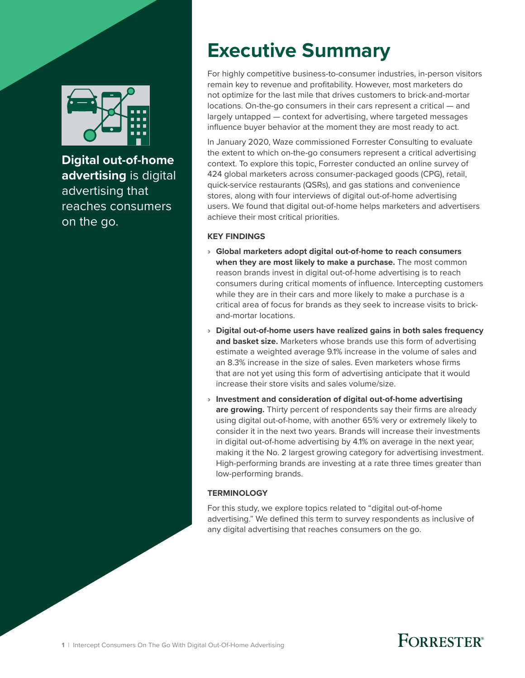<span id="page-2-0"></span>

**Digital out-of-home advertising** is digital advertising that reaches consumers on the go.

# **Executive Summary**

For highly competitive business-to-consumer industries, in-person visitors remain key to revenue and profitability. However, most marketers do not optimize for the last mile that drives customers to brick-and-mortar locations. On-the-go consumers in their cars represent a critical — and largely untapped — context for advertising, where targeted messages influence buyer behavior at the moment they are most ready to act.

In January 2020, Waze commissioned Forrester Consulting to evaluate the extent to which on-the-go consumers represent a critical advertising context. To explore this topic, Forrester conducted an online survey of 424 global marketers across consumer-packaged goods (CPG), retail, quick-service restaurants (QSRs), and gas stations and convenience stores, along with four interviews of digital out-of-home advertising users. We found that digital out-of-home helps marketers and advertisers achieve their most critical priorities.

#### **KEY FINDINGS**

- › **Global marketers adopt digital out-of-home to reach consumers when they are most likely to make a purchase.** The most common reason brands invest in digital out-of-home advertising is to reach consumers during critical moments of influence. Intercepting customers while they are in their cars and more likely to make a purchase is a critical area of focus for brands as they seek to increase visits to brickand-mortar locations.
- › **Digital out-of-home users have realized gains in both sales frequency and basket size.** Marketers whose brands use this form of advertising estimate a weighted average 9.1% increase in the volume of sales and an 8.3% increase in the size of sales. Even marketers whose firms that are not yet using this form of advertising anticipate that it would increase their store visits and sales volume/size.
- › **Investment and consideration of digital out-of-home advertising are growing.** Thirty percent of respondents say their firms are already using digital out-of-home, with another 65% very or extremely likely to consider it in the next two years. Brands will increase their investments in digital out-of-home advertising by 4.1% on average in the next year, making it the No. 2 largest growing category for advertising investment. High-performing brands are investing at a rate three times greater than low-performing brands.

#### **TERMINOLOGY**

For this study, we explore topics related to "digital out-of-home advertising." We defined this term to survey respondents as inclusive of any digital advertising that reaches consumers on the go.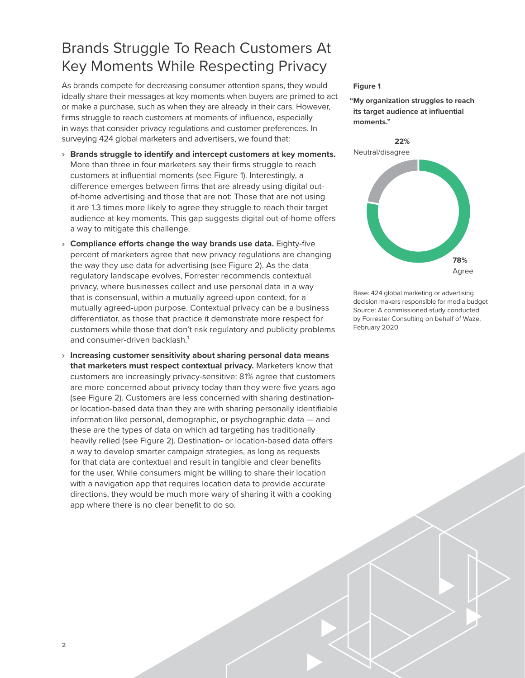### <span id="page-3-0"></span>Brands Struggle To Reach Customers At Key Moments While Respecting Privacy

As brands compete for decreasing consumer attention spans, they would ideally share their messages at key moments when buyers are primed to act or make a purchase, such as when they are already in their cars. However, firms struggle to reach customers at moments of influence, especially in ways that consider privacy regulations and customer preferences. In surveying 424 global marketers and advertisers, we found that:

- › **Brands struggle to identify and intercept customers at key moments.**  More than three in four marketers say their firms struggle to reach customers at influential moments (see Figure 1). Interestingly, a difference emerges between firms that are already using digital outof-home advertising and those that are not: Those that are not using it are 1.3 times more likely to agree they struggle to reach their target audience at key moments. This gap suggests digital out-of-home offers a way to mitigate this challenge.
- › **Compliance efforts change the way brands use data.** Eighty-five percent of marketers agree that new privacy regulations are changing the way they use data for advertising (see Figure 2). As the data regulatory landscape evolves, Forrester recommends contextual privacy, where businesses collect and use personal data in a way that is consensual, within a mutually agreed-upon context, for a mutually agreed-upon purpose. Contextual privacy can be a business differentiator, as those that practice it demonstrate more respect for customers while those that don't risk regulatory and publicity problems and consumer-driven backlash.<sup>1</sup>
- › **Increasing customer sensitivity about sharing personal data means that marketers must respect contextual privacy.** Marketers know that customers are increasingly privacy-sensitive: 81% agree that customers are more concerned about privacy today than they were five years ago (see Figure 2). Customers are less concerned with sharing destinationor location-based data than they are with sharing personally identifiable information like personal, demographic, or psychographic data — and these are the types of data on which ad targeting has traditionally heavily relied (see Figure 2). Destination- or location-based data offers a way to develop smarter campaign strategies, as long as requests for that data are contextual and result in tangible and clear benefits for the user. While consumers might be willing to share their location with a navigation app that requires location data to provide accurate directions, they would be much more wary of sharing it with a cooking app where there is no clear benefit to do so.

#### **Figure 1**

**"My organization struggles to reach its target audience at influential moments."**



Base: 424 global marketing or advertising decision makers responsible for media budget Source: A commissioned study conducted by Forrester Consulting on behalf of Waze, February 2020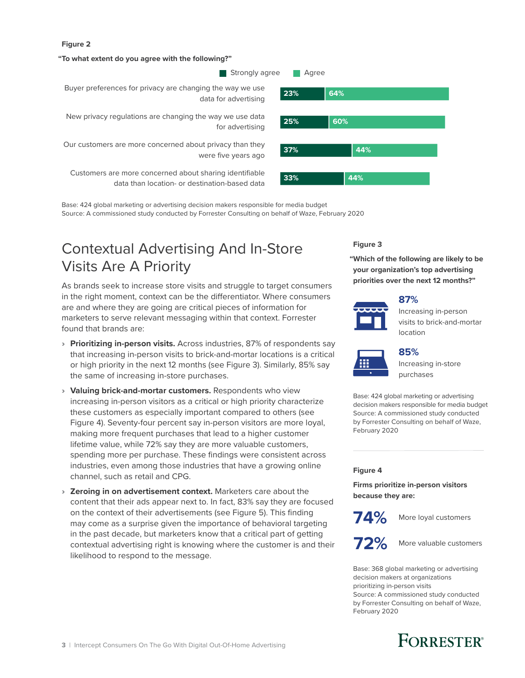#### <span id="page-4-0"></span>**Figure 2**

#### **"To what extent do you agree with the following?"**

**Strongly agree Agree** 



**125% Rew privacy regulations are changing the way we use data <b>125% Rev 25% Repo** for advertising

Our customers are more concerned about privacy than they were five years ago

**33% 44%** Customers are more concerned about sharing identifiable data than location- or destination-based data

**23% 64% 37% 44%**

Base: 424 global marketing or advertising decision makers responsible for media budget Source: A commissioned study conducted by Forrester Consulting on behalf of Waze, February 2020

### Contextual Advertising And In-Store Visits Are A Priority

As brands seek to increase store visits and struggle to target consumers in the right moment, context can be the differentiator. Where consumers are and where they are going are critical pieces of information for marketers to serve relevant messaging within that context. Forrester found that brands are:

- › **Prioritizing in-person visits.** Across industries, 87% of respondents say that increasing in-person visits to brick-and-mortar locations is a critical or high priority in the next 12 months (see Figure 3). Similarly, 85% say the same of increasing in-store purchases.
- › **Valuing brick-and-mortar customers.** Respondents who view increasing in-person visitors as a critical or high priority characterize these customers as especially important compared to others (see Figure 4). Seventy-four percent say in-person visitors are more loyal, making more frequent purchases that lead to a higher customer lifetime value, while 72% say they are more valuable customers, spending more per purchase. These findings were consistent across industries, even among those industries that have a growing online channel, such as retail and CPG.
- › **Zeroing in on advertisement context.** Marketers care about the content that their ads appear next to. In fact, 83% say they are focused on the context of their advertisements (see Figure 5). This finding may come as a surprise given the importance of behavioral targeting in the past decade, but marketers know that a critical part of getting contextual advertising right is knowing where the customer is and their likelihood to respond to the message.

#### **Figure 3**

**"Which of the following are likely to be your organization's top advertising priorities over the next 12 months?"**

#### **87%**





#### **85%**

Increasing in-store purchases

Base: 424 global marketing or advertising decision makers responsible for media budget Source: A commissioned study conducted by Forrester Consulting on behalf of Waze, February 2020

#### **Figure 4**

**Firms prioritize in-person visitors because they are:**

**74%**

More loyal customers



**72%** More valuable customers

Base: 368 global marketing or advertising decision makers at organizations prioritizing in-person visits Source: A commissioned study conducted by Forrester Consulting on behalf of Waze, February 2020

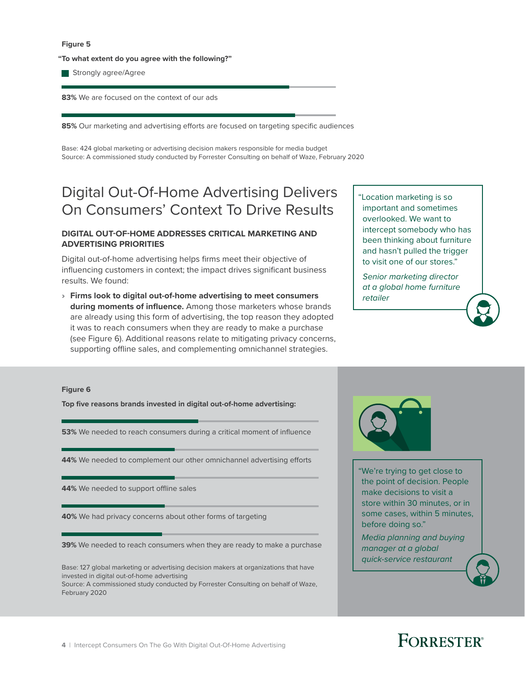#### <span id="page-5-0"></span>**Figure 5**

**"To what extent do you agree with the following?"**

Strongly agree/Agree

**83%** We are focused on the context of our ads

85% Our marketing and advertising efforts are focused on targeting specific audiences

Base: 424 global marketing or advertising decision makers responsible for media budget Source: A commissioned study conducted by Forrester Consulting on behalf of Waze, February 2020

### Digital Out-Of-Home Advertising Delivers On Consumers' Context To Drive Results

#### **DIGITAL OUT-OF-HOME ADDRESSES CRITICAL MARKETING AND ADVERTISING PRIORITIES**

Digital out-of-home advertising helps firms meet their objective of influencing customers in context; the impact drives significant business results. We found:

› **Firms look to digital out-of-home advertising to meet consumers during moments of influence.** Among those marketers whose brands are already using this form of advertising, the top reason they adopted it was to reach consumers when they are ready to make a purchase (see Figure 6). Additional reasons relate to mitigating privacy concerns, supporting offline sales, and complementing omnichannel strategies.

"Location marketing is so important and sometimes overlooked. We want to intercept somebody who has been thinking about furniture and hasn't pulled the trigger to visit one of our stores."

 *Senior marketing director at a global home furniture retailer*

#### **Figure 6**

**Top five reasons brands invested in digital out-of-home advertising:**

**53%** We needed to reach consumers during a critical moment of influence

44% We needed to complement our other omnichannel advertising efforts

44% We needed to support offline sales

**40%** We had privacy concerns about other forms of targeting

**39%** We needed to reach consumers when they are ready to make a purchase

Base: 127 global marketing or advertising decision makers at organizations that have invested in digital out-of-home advertising

Source: A commissioned study conducted by Forrester Consulting on behalf of Waze, February 2020



"We're trying to get close to the point of decision. People make decisions to visit a store within 30 minutes, or in some cases, within 5 minutes, before doing so."

Media planning and buying manager at a global quick-service restaurant

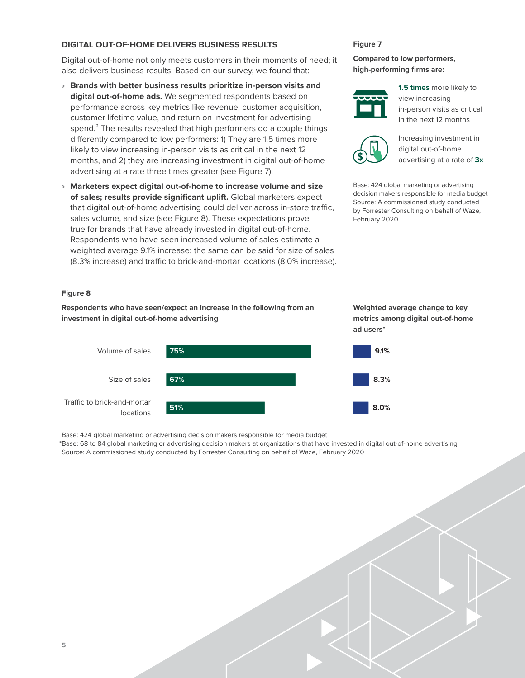#### **DIGITAL OUT-OF-HOME DELIVERS BUSINESS RESULTS**

Digital out-of-home not only meets customers in their moments of need; it also delivers business results. Based on our survey, we found that:

- › **Brands with better business results prioritize in-person visits and digital out-of-home ads.** We segmented respondents based on performance across key metrics like revenue, customer acquisition, customer lifetime value, and return on investment for advertising spend. $2$  The results revealed that high performers do a couple things differently compared to low performers: 1) They are 1.5 times more likely to view increasing in-person visits as critical in the next 12 months, and 2) they are increasing investment in digital out-of-home advertising at a rate three times greater (see Figure 7).
- › **Marketers expect digital out-of-home to increase volume and size of sales; results provide significant uplift.** Global marketers expect that digital out-of-home advertising could deliver across in-store traffic, sales volume, and size (see Figure 8). These expectations prove true for brands that have already invested in digital out-of-home. Respondents who have seen increased volume of sales estimate a weighted average 9.1% increase; the same can be said for size of sales (8.3% increase) and traffic to brick-and-mortar locations (8.0% increase).

#### **Figure 7**

#### **Compared to low performers, high-performing firms are:**



**1.5 times** more likely to view increasing in-person visits as critical in the next 12 months



Increasing investment in digital out-of-home advertising at a rate of **3x**

Base: 424 global marketing or advertising decision makers responsible for media budget Source: A commissioned study conducted by Forrester Consulting on behalf of Waze, February 2020

#### **Figure 8**

**Respondents who have seen/expect an increase in the following from an investment in digital out-of-home advertising**



**Weighted average change to key metrics among digital out-of-home ad users\***

Base: 424 global marketing or advertising decision makers responsible for media budget

\*Base: 68 to 84 global marketing or advertising decision makers at organizations that have invested in digital out-of-home advertising Source: A commissioned study conducted by Forrester Consulting on behalf of Waze, February 2020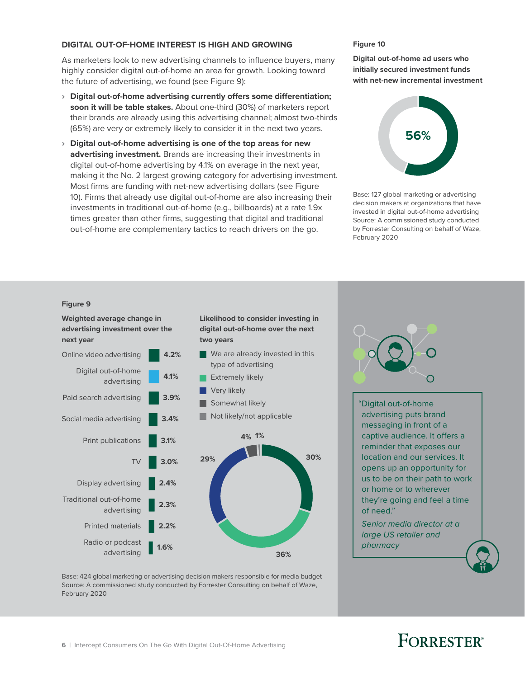#### **DIGITAL OUT-OF-HOME INTEREST IS HIGH AND GROWING**

As marketers look to new advertising channels to influence buyers, many highly consider digital out-of-home an area for growth. Looking toward the future of advertising, we found (see Figure 9):

- › **Digital out-of-home advertising currently offers some differentiation; soon it will be table stakes.** About one-third (30%) of marketers report their brands are already using this advertising channel; almost two-thirds (65%) are very or extremely likely to consider it in the next two years.
- › **Digital out-of-home advertising is one of the top areas for new advertising investment.** Brands are increasing their investments in digital out-of-home advertising by 4.1% on average in the next year, making it the No. 2 largest growing category for advertising investment. Most firms are funding with net-new advertising dollars (see Figure 10). Firms that already use digital out-of-home are also increasing their investments in traditional out-of-home (e.g., billboards) at a rate 1.9x times greater than other firms, suggesting that digital and traditional out-of-home are complementary tactics to reach drivers on the go.

**Likelihood to consider investing in digital out-of-home over the next** 

#### **Figure 10**

**Digital out-of-home ad users who initially secured investment funds with net-new incremental investment**



Base: 127 global marketing or advertising decision makers at organizations that have invested in digital out-of-home advertising Source: A commissioned study conducted by Forrester Consulting on behalf of Waze, February 2020

#### **Figure 9**

**Weighted average change in advertising investment over the next year**



**two years**

Base: 424 global marketing or advertising decision makers responsible for media budget Source: A commissioned study conducted by Forrester Consulting on behalf of Waze, February 2020



"Digital out-of-home advertising puts brand messaging in front of a captive audience. It offers a reminder that exposes our location and our services. It opens up an opportunity for us to be on their path to work or home or to wherever they're going and feel a time of need."

Senior media director at a large US retailer and pharmacy

## **FORRESTER**<sup>®</sup>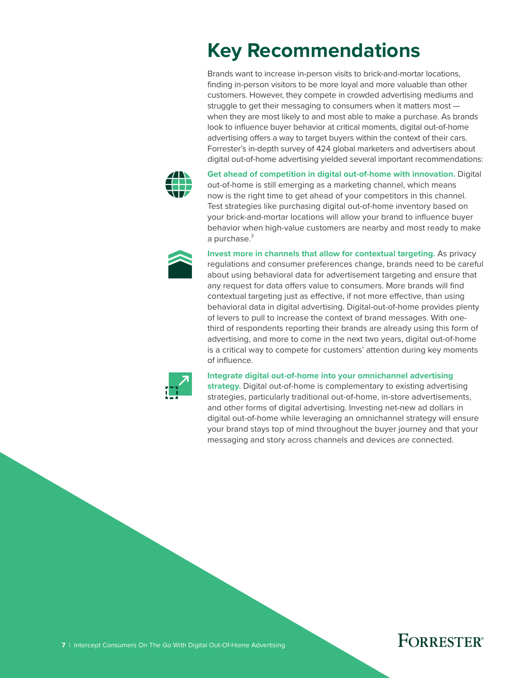# <span id="page-8-0"></span>**Key Recommendations**

Brands want to increase in-person visits to brick-and-mortar locations, finding in-person visitors to be more loyal and more valuable than other customers. However, they compete in crowded advertising mediums and struggle to get their messaging to consumers when it matters most when they are most likely to and most able to make a purchase. As brands look to influence buyer behavior at critical moments, digital out-of-home advertising offers a way to target buyers within the context of their cars. Forrester's in-depth survey of 424 global marketers and advertisers about digital out-of-home advertising yielded several important recommendations:



**Get ahead of competition in digital out-of-home with innovation.** Digital out-of-home is still emerging as a marketing channel, which means now is the right time to get ahead of your competitors in this channel. Test strategies like purchasing digital out-of-home inventory based on your brick-and-mortar locations will allow your brand to influence buyer behavior when high-value customers are nearby and most ready to make a purchase.<sup>3</sup>



**Invest more in channels that allow for contextual targeting.** As privacy regulations and consumer preferences change, brands need to be careful about using behavioral data for advertisement targeting and ensure that any request for data offers value to consumers. More brands will find contextual targeting just as effective, if not more effective, than using behavioral data in digital advertising. Digital-out-of-home provides plenty of levers to pull to increase the context of brand messages. With onethird of respondents reporting their brands are already using this form of advertising, and more to come in the next two years, digital out-of-home is a critical way to compete for customers' attention during key moments of influence.



#### **Integrate digital out-of-home into your omnichannel advertising**

**strategy.** Digital out-of-home is complementary to existing advertising strategies, particularly traditional out-of-home, in-store advertisements, and other forms of digital advertising. Investing net-new ad dollars in digital out-of-home while leveraging an omnichannel strategy will ensure your brand stays top of mind throughout the buyer journey and that your messaging and story across channels and devices are connected.

### **FORRESTER®**

**7** | Intercept Consumers On The Go With Digital Out-Of-Home Advertising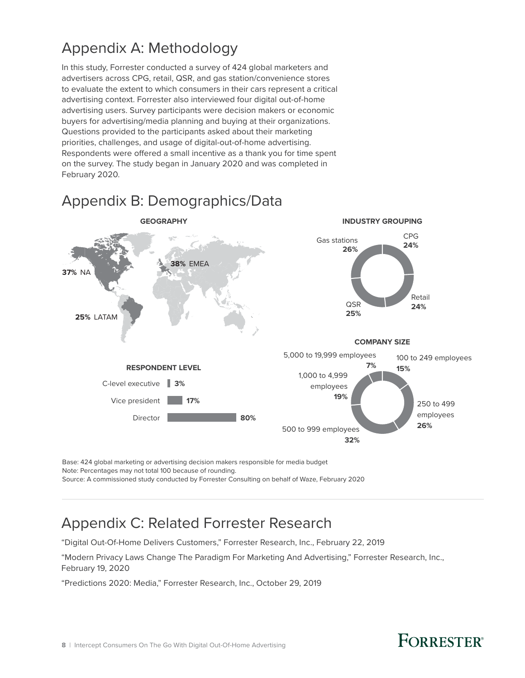### <span id="page-9-0"></span>Appendix A: Methodology

In this study, Forrester conducted a survey of 424 global marketers and advertisers across CPG, retail, QSR, and gas station/convenience stores to evaluate the extent to which consumers in their cars represent a critical advertising context. Forrester also interviewed four digital out-of-home advertising users. Survey participants were decision makers or economic buyers for advertising/media planning and buying at their organizations. Questions provided to the participants asked about their marketing priorities, challenges, and usage of digital-out-of-home advertising. Respondents were offered a small incentive as a thank you for time spent on the survey. The study began in January 2020 and was completed in February 2020.



### Appendix B: Demographics/Data

Base: 424 global marketing or advertising decision makers responsible for media budget Note: Percentages may not total 100 because of rounding. Source: A commissioned study conducted by Forrester Consulting on behalf of Waze, February 2020

# Appendix C: Related Forrester Research

"Digital Out-Of-Home Delivers Customers," Forrester Research, Inc., February 22, 2019

"Modern Privacy Laws Change The Paradigm For Marketing And Advertising," Forrester Research, Inc., February 19, 2020

"Predictions 2020: Media," Forrester Research, Inc., October 29, 2019

## **FORRESTER®**